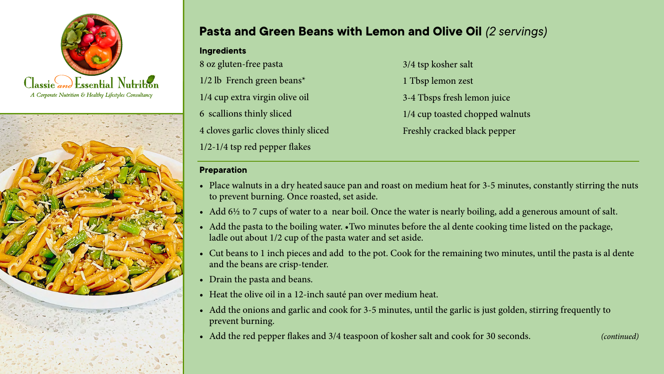



## **Pasta and Green Beans with Lemon and Olive Oil** *(2 servings)*

**Ingredients** 8 oz gluten-free pasta 1/2 lb French green beans\* 1/4 cup extra virgin olive oil 6 scallions thinly sliced 4 cloves garlic cloves thinly sliced 1/2-1/4 tsp red pepper flakes

3/4 tsp kosher salt 1 Tbsp lemon zest 3-4 Tbsps fresh lemon juice 1/4 cup toasted chopped walnuts Freshly cracked black pepper

## **Preparation**

- Place walnuts in a dry heated sauce pan and roast on medium heat for 3-5 minutes, constantly stirring the nuts to prevent burning. Once roasted, set aside.
- Add  $6\frac{1}{2}$  to 7 cups of water to a near boil. Once the water is nearly boiling, add a generous amount of salt.
- Add the pasta to the boiling water. Two minutes before the al dente cooking time listed on the package, ladle out about 1/2 cup of the pasta water and set aside.
- Cut beans to 1 inch pieces and add to the pot. Cook for the remaining two minutes, until the pasta is al dente and the beans are crisp-tender.
- Drain the pasta and beans.
- Heat the olive oil in a 12-inch sauté pan over medium heat.
- Add the onions and garlic and cook for 3-5 minutes, until the garlic is just golden, stirring frequently to prevent burning.
- Add the red pepper flakes and 3/4 teaspoon of kosher salt and cook for 30 seconds. *(continued)*